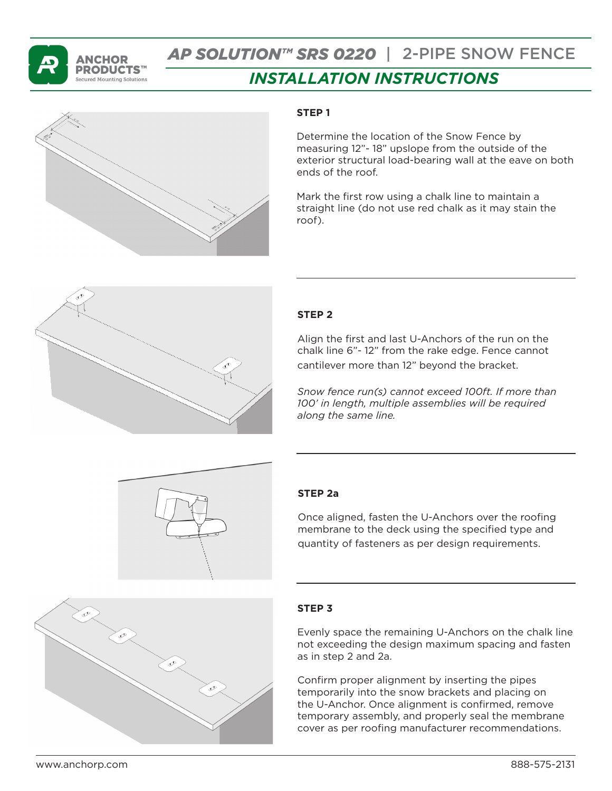

# *AP SOLUTION™ SRS 0220* | 2-PIPE SNOW FENCE

# *INSTALLATION INSTRUCTIONS*



### **STEP 1**

Determine the location of the Snow Fence by measuring 12"- 18" upslope from the outside of the exterior structural load-bearing wall at the eave on both ends of the roof.

Mark the first row using a chalk line to maintain a straight line (do not use red chalk as it may stain the roof).



# **STEP 2**

Align the first and last U-Anchors of the run on the chalk line 6"- 12" from the rake edge. Fence cannot cantilever more than 12" beyond the bracket.

*Snow fence run(s) cannot exceed 100ft. If more than 100' in length, multiple assemblies will be required along the same line.* 



#### **STEP 2a**

Once aligned, fasten the U-Anchors over the roofing membrane to the deck using the specified type and quantity of fasteners as per design requirements.

#### **STEP 3**

Evenly space the remaining U-Anchors on the chalk line not exceeding the design maximum spacing and fasten as in step 2 and 2a.

Confirm proper alignment by inserting the pipes temporarily into the snow brackets and placing on the U-Anchor. Once alignment is confirmed, remove temporary assembly, and properly seal the membrane cover as per roofing manufacturer recommendations.